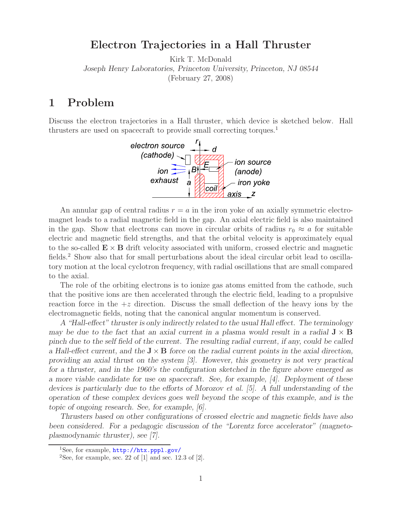## **Electron Trajectories in a Hall Thruster**

Kirk T. McDonald *Joseph Henry Laboratories, Princeton University, Princeton, NJ 08544* (February 27, 2008)

## **1 Problem**

Discuss the electron trajectories in a Hall thruster, which device is sketched below. Hall thrusters are used on spacecraft to provide small correcting torques.<sup>1</sup>



An annular gap of central radius  $r = a$  in the iron yoke of an axially symmetric electromagnet leads to a radial magnetic field in the gap. An axial electric field is also maintained in the gap. Show that electrons can move in circular orbits of radius  $r_0 \approx a$  for suitable electric and magnetic field strengths, and that the orbital velocity is approximately equal to the so-called  $\mathbf{E} \times \mathbf{B}$  drift velocity associated with uniform, crossed electric and magnetic fields.<sup>2</sup> Show also that for small perturbations about the ideal circular orbit lead to oscillatory motion at the local cyclotron frequency, with radial oscillations that are small compared to the axial.

The role of the orbiting electrons is to ionize gas atoms emitted from the cathode, such that the positive ions are then accelerated through the electric field, leading to a propulsive reaction force in the  $+z$  direction. Discuss the small deflection of the heavy ions by the electromagnetic fields, noting that the canonical angular momentum is conserved.

*A "Hall-effect" thruster is only indirectly related to the usual Hall effect. The terminology may be due to the fact that an axial current in a plasma would result in a radial*  $J \times B$ *pinch due to the self field of the current. The resulting radial current, if any, could be called a Hall-effect current, and the*  $J \times B$  *force on the radial current points in the axial direction, providing an axial thrust on the system [3]. However, this geometry is not very practical for a thruster, and in the 1960's the configuration sketched in the figure above emerged as a more viable candidate for use on spacecraft. See, for example, [4]. Deployment of these devices is particularly due to the efforts of Morozov et al. [5]. A full understanding of the operation of these complex devices goes well beyond the scope of this example, and is the topic of ongoing research. See, for example, [6].*

*Thrusters based on other configurations of crossed electric and magnetic fields have also been considered. For a pedagogic discussion of the "Lorentz force accelerator" (magnetoplasmodynamic thruster), see [7].*

<sup>1</sup>See, for example, http://htx.pppl.gov/

<sup>&</sup>lt;sup>2</sup>See, for example, sec. 22 of  $[1]$  and sec. 12.3 of  $[2]$ .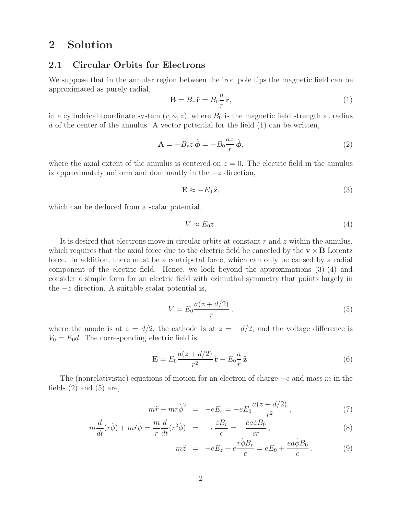# **2 Solution**

#### **2.1 Circular Orbits for Electrons**

We suppose that in the annular region between the iron pole tips the magnetic field can be approximated as purely radial, a

$$
\mathbf{B} = B_r \,\hat{\mathbf{r}} = B_0 \frac{a}{r} \,\hat{\mathbf{r}},\tag{1}
$$

in a cylindrical coordinate system  $(r, \phi, z)$ , where  $B_0$  is the magnetic field strength at radius a of the center of the annulus. A vector potential for the field (1) can be written,

$$
\mathbf{A} = -B_r z \,\hat{\boldsymbol{\phi}} = -B_0 \frac{az}{r} \,\hat{\boldsymbol{\phi}},\tag{2}
$$

where the axial extent of the annulus is centered on  $z = 0$ . The electric field in the annulus is approximately uniform and dominantly in the  $-z$  direction,

$$
\mathbf{E} \approx -E_0 \,\hat{\mathbf{z}},\tag{3}
$$

which can be deduced from a scalar potential,

$$
V \approx E_0 z. \tag{4}
$$

It is desired that electrons move in circular orbits at constant r and z within the annulus, which requires that the axial force due to the electric field be canceled by the  $\mathbf{v} \times \mathbf{B}$  Lorentz force. In addition, there must be a centripetal force, which can only be caused by a radial component of the electric field. Hence, we look beyond the approximations (3)-(4) and consider a simple form for an electric field with azimuthal symmetry that points largely in the  $-z$  direction. A suitable scalar potential is,

$$
V = E_0 \frac{a(z + d/2)}{r},\tag{5}
$$

where the anode is at  $z = d/2$ , the cathode is at  $z = -d/2$ , and the voltage difference is  $V_0 = E_0 d$ . The corresponding electric field is,

$$
\mathbf{E} = E_0 \frac{a(z + d/2)}{r^2} \hat{\mathbf{r}} - E_0 \frac{a}{r} \hat{\mathbf{z}}.
$$
 (6)

The (nonrelativistic) equations of motion for an electron of charge  $-e$  and mass m in the fields  $(2)$  and  $(5)$  are,

$$
m\ddot{r} - mr\dot{\phi}^2 = -eE_r = -eE_0 \frac{a(z + d/2)}{r^2}, \qquad (7)
$$

$$
m\frac{d}{dt}(r\dot{\phi}) + m\dot{r}\dot{\phi} = \frac{m}{r}\frac{d}{dt}(r^2\dot{\phi}) = -e^{\frac{\dot{z}B_r}{c}} = -\frac{ea\dot{z}B_0}{cr},\qquad(8)
$$

$$
m\ddot{z} = -eE_z + e\frac{r\dot{\phi}B_r}{c} = eE_0 + \frac{ea\dot{\phi}B_0}{c}.
$$
 (9)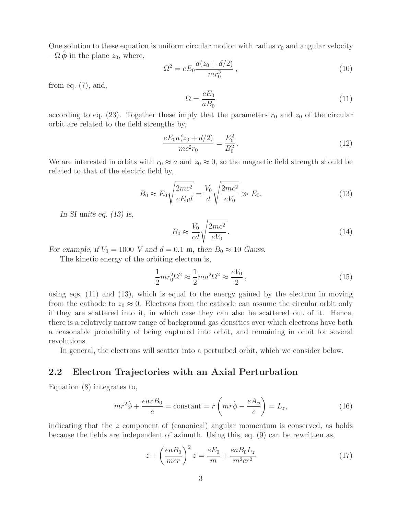One solution to these equation is uniform circular motion with radius  $r_0$  and angular velocity  $-\Omega \phi$  in the plane  $z_0$ , where,

$$
\Omega^2 = eE_0 \frac{a(z_0 + d/2)}{mr_0^3},\tag{10}
$$

from eq.  $(7)$ , and,

$$
\Omega = \frac{cE_0}{aB_0} \tag{11}
$$

according to eq. (23). Together these imply that the parameters  $r_0$  and  $z_0$  of the circular orbit are related to the field strengths by,

$$
\frac{eE_0a(z_0 + d/2)}{mc^2r_0} = \frac{E_0^2}{B_0^2}.
$$
\n(12)

We are interested in orbits with  $r_0 \approx a$  and  $z_0 \approx 0$ , so the magnetic field strength should be related to that of the electric field by,

$$
B_0 \approx E_0 \sqrt{\frac{2mc^2}{eE_0 d}} = \frac{V_0}{d} \sqrt{\frac{2mc^2}{eV_0}} \gg E_0.
$$
 (13)

*In SI units eq. (13) is,*

$$
B_0 \approx \frac{V_0}{cd} \sqrt{\frac{2mc^2}{eV_0}}.
$$
\n(14)

*For example, if*  $V_0 = 1000$  *V and*  $d = 0.1$  *m, then*  $B_0 \approx 10$  *Gauss.* 

The kinetic energy of the orbiting electron is,

$$
\frac{1}{2}mr_0^2\Omega^2 \approx \frac{1}{2}ma^2\Omega^2 \approx \frac{eV_0}{2},\qquad(15)
$$

using eqs. (11) and (13), which is equal to the energy gained by the electron in moving from the cathode to  $z_0 \approx 0$ . Electrons from the cathode can assume the circular orbit only if they are scattered into it, in which case they can also be scattered out of it. Hence, there is a relatively narrow range of background gas densities over which electrons have both a reasonable probability of being captured into orbit, and remaining in orbit for several revolutions.

In general, the electrons will scatter into a perturbed orbit, which we consider below.

## **2.2 Electron Trajectories with an Axial Perturbation**

Equation (8) integrates to,

$$
mr^{2}\dot{\phi} + \frac{eazB_{0}}{c} = \text{constant} = r\left(mr\dot{\phi} - \frac{eA_{\phi}}{c}\right) = L_{z},\qquad(16)
$$

indicating that the  $z$  component of (canonical) angular momentum is conserved, as holds because the fields are independent of azimuth. Using this, eq. (9) can be rewritten as,

$$
\ddot{z} + \left(\frac{eaB_0}{mcr}\right)^2 z = \frac{eE_0}{m} + \frac{eaB_0L_z}{m^2cr^2}
$$
\n(17)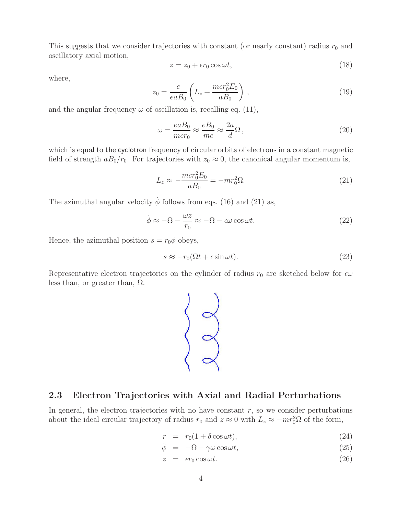This suggests that we consider trajectories with constant (or nearly constant) radius  $r_0$  and oscillatory axial motion,

$$
z = z_0 + \epsilon r_0 \cos \omega t, \tag{18}
$$

where,

$$
z_0 = \frac{c}{eaB_0} \left( L_z + \frac{mcr_0^2 E_0}{aB_0} \right) ,
$$
 (19)

and the angular frequency  $\omega$  of oscillation is, recalling eq. (11),

$$
\omega = \frac{eaB_0}{mcr_0} \approx \frac{eB_0}{mc} \approx \frac{2a}{d}\Omega\,,\tag{20}
$$

which is equal to the cyclotron frequency of circular orbits of electrons in a constant magnetic field of strength  $aB_0/r_0$ . For trajectories with  $z_0 \approx 0$ , the canonical angular momentum is,

$$
L_z \approx -\frac{mcr_0^2 E_0}{aB_0} = -mr_0^2 \Omega. \tag{21}
$$

The azimuthal angular velocity  $\dot{\phi}$  follows from eqs. (16) and (21) as,

$$
\dot{\phi} \approx -\Omega - \frac{\omega z}{r_0} \approx -\Omega - \epsilon \omega \cos \omega t.
$$
\n(22)

Hence, the azimuthal position  $s = r_0 \phi$  obeys,

$$
s \approx -r_0(\Omega t + \epsilon \sin \omega t). \tag{23}
$$

Representative electron trajectories on the cylinder of radius  $r_0$  are sketched below for  $\epsilon\omega$ less than, or greater than,  $\Omega$ .



### **2.3 Electron Trajectories with Axial and Radial Perturbations**

In general, the electron trajectories with no have constant  $r$ , so we consider perturbations about the ideal circular trajectory of radius  $r_0$  and  $z \approx 0$  with  $L_z \approx -mr_0^2\Omega$  of the form,

$$
r = r_0(1 + \delta \cos \omega t), \tag{24}
$$

$$
\dot{\phi} = -\Omega - \gamma \omega \cos \omega t, \qquad (25)
$$

$$
z = \epsilon r_0 \cos \omega t. \tag{26}
$$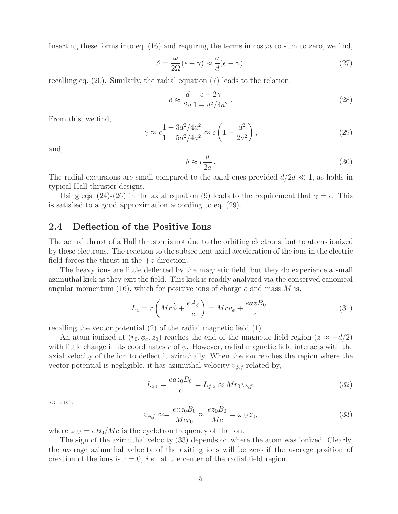Inserting these forms into eq. (16) and requiring the terms in  $\cos \omega t$  to sum to zero, we find,

$$
\delta = \frac{\omega}{2\Omega}(\epsilon - \gamma) \approx \frac{a}{d}(\epsilon - \gamma),\tag{27}
$$

recalling eq. (20). Similarly, the radial equation (7) leads to the relation,

$$
\delta \approx \frac{d}{2a} \frac{\epsilon - 2\gamma}{1 - d^2/4a^2} \,. \tag{28}
$$

From this, we find,

$$
\gamma \approx \epsilon \frac{1 - 3d^2/4a^2}{1 - 5d^2/4a^2} \approx \epsilon \left(1 - \frac{d^2}{2a^2}\right),\tag{29}
$$

and,

$$
\delta \approx \epsilon \frac{d}{2a} \,. \tag{30}
$$

The radial excursions are small compared to the axial ones provided  $d/2a \ll 1$ , as holds in typical Hall thruster designs.

Using eqs. (24)-(26) in the axial equation (9) leads to the requirement that  $\gamma = \epsilon$ . This is satisfied to a good approximation according to eq. (29).

#### **2.4 Deflection of the Positive Ions**

The actual thrust of a Hall thruster is not due to the orbiting electrons, but to atoms ionized by these electrons. The reaction to the subsequent axial acceleration of the ions in the electric field forces the thrust in the  $+z$  direction.

The heavy ions are little deflected by the magnetic field, but they do experience a small azimuthal kick as they exit the field. This kick is readily analyzed via the conserved canonical angular momentum (16), which for positive ions of charge  $e$  and mass  $M$  is,

$$
L_z = r\left(Mr\dot{\phi} + \frac{eA_{\phi}}{c}\right) = Mrv_{\phi} + \frac{eazB_0}{c},\qquad(31)
$$

recalling the vector potential (2) of the radial magnetic field (1).

An atom ionized at  $(r_0, \phi_0, z_0)$  reaches the end of the magnetic field region  $(z \approx -d/2)$ with little change in its coordinates r of  $\phi$ . However, radial magnetic field interacts with the axial velocity of the ion to deflect it azimthally. When the ion reaches the region where the vector potential is negligible, it has azimuthal velocity  $v_{\phi,f}$  related by,

$$
L_{z,i} = \frac{ea z_0 B_0}{c} = L_{f,z} \approx Mr_0 v_{\phi,f},\tag{32}
$$

so that,

$$
v_{\phi,f} \approx = \frac{ea z_0 B_0}{Mcr_0} \approx \frac{ez_0 B_0}{Mc} = \omega_M z_0,
$$
\n(33)

where  $\omega_M = eB_0/Mc$  is the cyclotron frequency of the ion.

The sign of the azimuthal velocity (33) depends on where the atom was ionized. Clearly, the average azimuthal velocity of the exiting ions will be zero if the average position of creation of the ions is  $z = 0$ , *i.e.*, at the center of the radial field region.